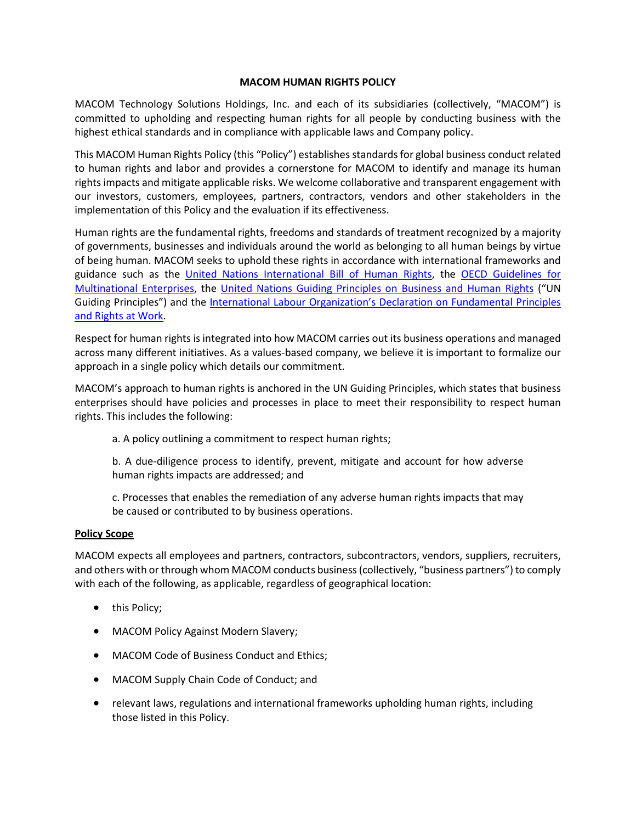### **MACOM HUMAN RIGHTS POLICY**

MACOM Technology Solutions Holdings, Inc. and each of its subsidiaries (collectively, "MACOM") is committed to upholding and respecting human rights for all people by conducting business with the highest ethical standards and in compliance with applicable laws and Company policy.

This MACOM Human Rights Policy (this "Policy") establishes standards for global business conduct related to human rights and labor and provides a cornerstone for MACOM to identify and manage its human rights impacts and mitigate applicable risks. We welcome collaborative and transparent engagement with our investors, customers, employees, partners, contractors, vendors and other stakeholders in the implementation of this Policy and the evaluation if its effectiveness.

Human rights are the fundamental rights, freedoms and standards of treatment recognized by a majority of governments, businesses and individuals around the world as belonging to all human beings by virtue of being human. MACOM seeks to uphold these rights in accordance with international frameworks and guidance such as the [United Nations International Bill of Human Rights,](https://www.ohchr.org/documents/publications/compilation1.1en.pdf) the [OECD Guidelines for](https://www.oecd.org/corporate/mne/)  [Multinational Enterprises,](https://www.oecd.org/corporate/mne/) the [United Nations Guiding Principles on Business and Human Rights](https://www.ohchr.org/Documents/Publications/GuidingPrinciplesBusinessHR_EN.pdf) ("UN Guiding Principles") and the [International Labour Organization's Declaration on Fundamental Principles](https://www.ilo.org/declaration/thedeclaration/textdeclaration/lang--en/index.htm)  [and Rights at Work.](https://www.ilo.org/declaration/thedeclaration/textdeclaration/lang--en/index.htm)

Respect for human rights is integrated into how MACOM carries out its business operations and managed across many different initiatives. As a values-based company, we believe it is important to formalize our approach in a single policy which details our commitment.

MACOM's approach to human rights is anchored in the UN Guiding Principles, which states that business enterprises should have policies and processes in place to meet their responsibility to respect human rights. This includes the following:

a. A policy outlining a commitment to respect human rights;

b. A due-diligence process to identify, prevent, mitigate and account for how adverse human rights impacts are addressed; and

c. Processes that enables the remediation of any adverse human rights impacts that may be caused or contributed to by business operations.

#### **Policy Scope**

MACOM expects all employees and partners, contractors, subcontractors, vendors, suppliers, recruiters, and others with or through whom MACOM conducts business (collectively, "business partners") to comply with each of the following, as applicable, regardless of geographical location:

- this Policy;
- MACOM Policy Against Modern Slavery;
- MACOM Code of Business Conduct and Ethics;
- MACOM Supply Chain Code of Conduct; and
- relevant laws, regulations and international frameworks upholding human rights, including those listed in this Policy.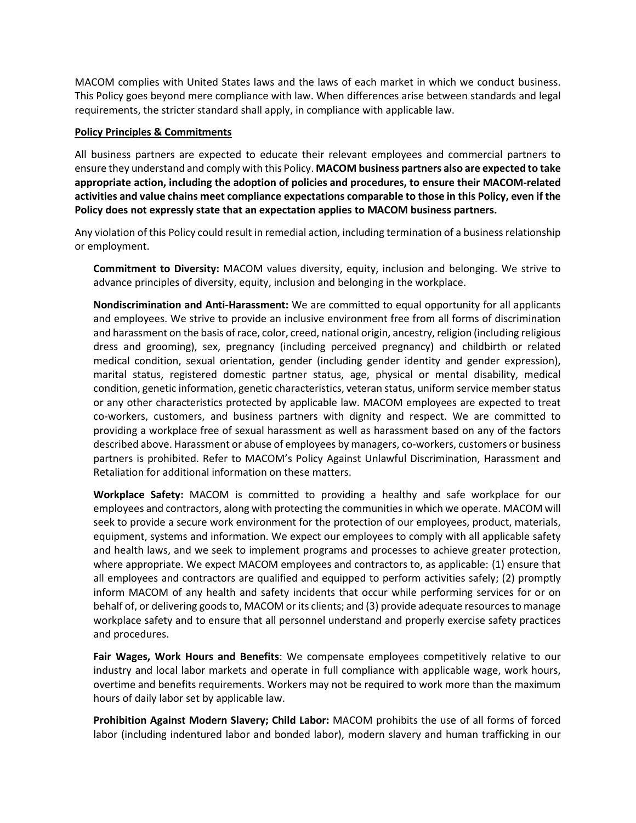MACOM complies with United States laws and the laws of each market in which we conduct business. This Policy goes beyond mere compliance with law. When differences arise between standards and legal requirements, the stricter standard shall apply, in compliance with applicable law.

### **Policy Principles & Commitments**

All business partners are expected to educate their relevant employees and commercial partners to ensure they understand and comply with this Policy. **MACOM business partners also are expected to take appropriate action, including the adoption of policies and procedures, to ensure their MACOM-related activities and value chains meet compliance expectations comparable to those in this Policy, even if the Policy does not expressly state that an expectation applies to MACOM business partners.**

Any violation of this Policy could result in remedial action, including termination of a business relationship or employment.

**Commitment to Diversity:** MACOM values diversity, equity, inclusion and belonging. We strive to advance principles of diversity, equity, inclusion and belonging in the workplace.

**Nondiscrimination and Anti-Harassment:** We are committed to equal opportunity for all applicants and employees. We strive to provide an inclusive environment free from all forms of discrimination and harassment on the basis of race, color, creed, national origin, ancestry, religion (including religious dress and grooming), sex, pregnancy (including perceived pregnancy) and childbirth or related medical condition, sexual orientation, gender (including gender identity and gender expression), marital status, registered domestic partner status, age, physical or mental disability, medical condition, genetic information, genetic characteristics, veteran status, uniform service member status or any other characteristics protected by applicable law. MACOM employees are expected to treat co-workers, customers, and business partners with dignity and respect. We are committed to providing a workplace free of sexual harassment as well as harassment based on any of the factors described above. Harassment or abuse of employees by managers, co-workers, customers or business partners is prohibited. Refer to MACOM's Policy Against Unlawful Discrimination, Harassment and Retaliation for additional information on these matters.

**Workplace Safety:** MACOM is committed to providing a healthy and safe workplace for our employees and contractors, along with protecting the communitiesin which we operate. MACOM will seek to provide a secure work environment for the protection of our employees, product, materials, equipment, systems and information. We expect our employees to comply with all applicable safety and health laws, and we seek to implement programs and processes to achieve greater protection, where appropriate. We expect MACOM employees and contractors to, as applicable: (1) ensure that all employees and contractors are qualified and equipped to perform activities safely; (2) promptly inform MACOM of any health and safety incidents that occur while performing services for or on behalf of, or delivering goods to, MACOM or its clients; and (3) provide adequate resources to manage workplace safety and to ensure that all personnel understand and properly exercise safety practices and procedures.

**Fair Wages, Work Hours and Benefits**: We compensate employees competitively relative to our industry and local labor markets and operate in full compliance with applicable wage, work hours, overtime and benefits requirements. Workers may not be required to work more than the maximum hours of daily labor set by applicable law.

**Prohibition Against Modern Slavery; Child Labor:** MACOM prohibits the use of all forms of forced labor (including indentured labor and bonded labor), modern slavery and human trafficking in our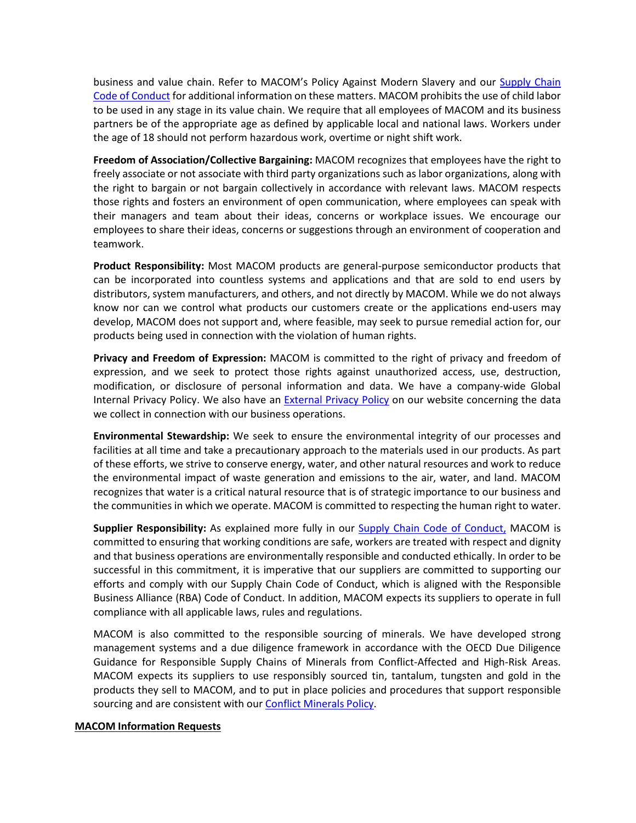business and value chain. Refer to MACOM's Policy Against Modern Slavery and our [Supply Chain](https://www.macom.com/files/live/sites/ma/files/contributed/Quality/MACOM%20Supply%20Chain%20Code%20of%20Conduct.pdf)  [Code of Conduct](https://www.macom.com/files/live/sites/ma/files/contributed/Quality/MACOM%20Supply%20Chain%20Code%20of%20Conduct.pdf) for additional information on these matters. MACOM prohibits the use of child labor to be used in any stage in its value chain. We require that all employees of MACOM and its business partners be of the appropriate age as defined by applicable local and national laws. Workers under the age of 18 should not perform hazardous work, overtime or night shift work.

**Freedom of Association/Collective Bargaining:** MACOM recognizes that employees have the right to freely associate or not associate with third party organizations such as labor organizations, along with the right to bargain or not bargain collectively in accordance with relevant laws. MACOM respects those rights and fosters an environment of open communication, where employees can speak with their managers and team about their ideas, concerns or workplace issues. We encourage our employees to share their ideas, concerns or suggestions through an environment of cooperation and teamwork.

**Product Responsibility:** Most MACOM products are general-purpose semiconductor products that can be incorporated into countless systems and applications and that are sold to end users by distributors, system manufacturers, and others, and not directly by MACOM. While we do not always know nor can we control what products our customers create or the applications end-users may develop, MACOM does not support and, where feasible, may seek to pursue remedial action for, our products being used in connection with the violation of human rights.

**Privacy and Freedom of Expression:** MACOM is committed to the right of privacy and freedom of expression, and we seek to protect those rights against unauthorized access, use, destruction, modification, or disclosure of personal information and data. We have a company-wide Global Internal Privacy Policy. We also have an **External Privacy Policy** on our website concerning the data we collect in connection with our business operations.

**Environmental Stewardship:** We seek to ensure the environmental integrity of our processes and facilities at all time and take a precautionary approach to the materials used in our products. As part of these efforts, we strive to conserve energy, water, and other natural resources and work to reduce the environmental impact of waste generation and emissions to the air, water, and land. MACOM recognizes that water is a critical natural resource that is of strategic importance to our business and the communities in which we operate. MACOM is committed to respecting the human right to water.

**Supplier Responsibility:** As explained more fully in our [Supply Chain Code of Conduct,](https://www.macom.com/files/live/sites/ma/files/contributed/Quality/MACOM%20Supply%20Chain%20Code%20of%20Conduct.pdf) MACOM is committed to ensuring that working conditions are safe, workers are treated with respect and dignity and that business operations are environmentally responsible and conducted ethically. In order to be successful in this commitment, it is imperative that our suppliers are committed to supporting our efforts and comply with our Supply Chain Code of Conduct, which is aligned with the Responsible Business Alliance (RBA) Code of Conduct. In addition, MACOM expects its suppliers to operate in full compliance with all applicable laws, rules and regulations.

MACOM is also committed to the responsible sourcing of minerals. We have developed strong management systems and a due diligence framework in accordance with the OECD Due Diligence Guidance for Responsible Supply Chains of Minerals from Conflict-Affected and High-Risk Areas. MACOM expects its suppliers to use responsibly sourced tin, tantalum, tungsten and gold in the products they sell to MACOM, and to put in place policies and procedures that support responsible sourcing and are consistent with ou[r Conflict Minerals Policy.](https://www.macom.com/files/live/sites/ma/files/reliability/Conflict%20Minerals%20Policy%202021.pdf)

## **MACOM Information Requests**